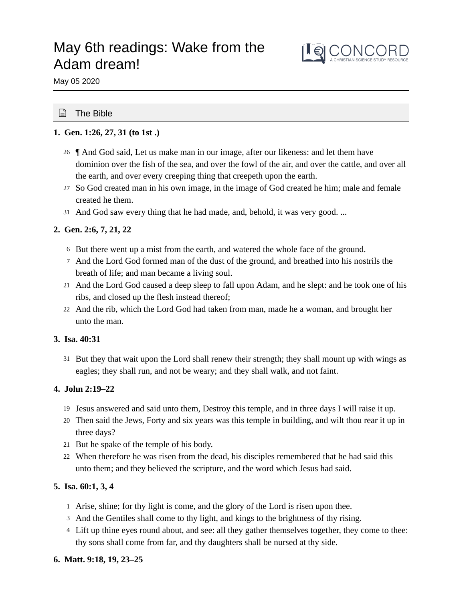# May 6th readings: Wake from the Adam dream!



May 05 2020

# ■ The Bible

# **1. Gen. 1:26, 27, 31 (to 1st .)**

- ¶ And God said, Let us make man in our image, after our likeness: and let them have 26 dominion over the fish of the sea, and over the fowl of the air, and over the cattle, and over all the earth, and over every creeping thing that creepeth upon the earth.
- 27 So God created man in his own image, in the image of God created he him; male and female created he them.
- And God saw every thing that he had made, and, behold, it was very good. ... 31

# **2. Gen. 2:6, 7, 21, 22**

- 6 But there went up a mist from the earth, and watered the whole face of the ground.
- And the Lord God formed man of the dust of the ground, and breathed into his nostrils the 7 breath of life; and man became a living soul.
- And the Lord God caused a deep sleep to fall upon Adam, and he slept: and he took one of his 21 ribs, and closed up the flesh instead thereof;
- And the rib, which the Lord God had taken from man, made he a woman, and brought her 22 unto the man.

# **3. Isa. 40:31**

31 But they that wait upon the Lord shall renew their strength; they shall mount up with wings as eagles; they shall run, and not be weary; and they shall walk, and not faint.

# **4. John 2:19–22**

- 19 Jesus answered and said unto them, Destroy this temple, and in three days I will raise it up.
- Then said the Jews, Forty and six years was this temple in building, and wilt thou rear it up in 20 three days?
- 21 But he spake of the temple of his body.
- When therefore he was risen from the dead, his disciples remembered that he had said this 22 unto them; and they believed the scripture, and the word which Jesus had said.

# **5. Isa. 60:1, 3, 4**

- 1 Arise, shine; for thy light is come, and the glory of the Lord is risen upon thee.
- 3 And the Gentiles shall come to thy light, and kings to the brightness of thy rising.
- 4 Lift up thine eyes round about, and see: all they gather themselves together, they come to thee: thy sons shall come from far, and thy daughters shall be nursed at thy side.

# **6. Matt. 9:18, 19, 23–25**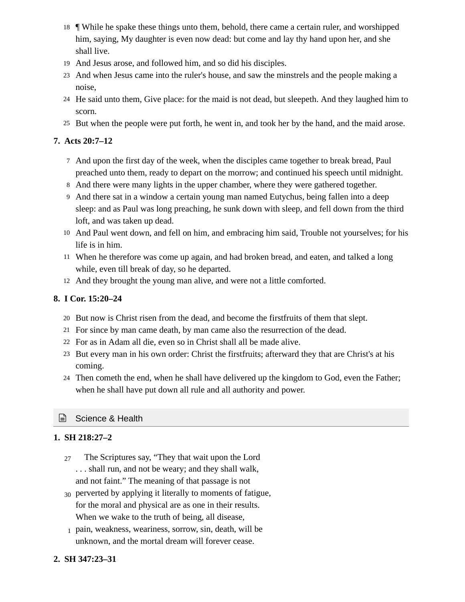- ¶ While he spake these things unto them, behold, there came a certain ruler, and worshipped 18 him, saying, My daughter is even now dead: but come and lay thy hand upon her, and she shall live.
- And Jesus arose, and followed him, and so did his disciples. 19
- And when Jesus came into the ruler's house, and saw the minstrels and the people making a 23 noise,
- He said unto them, Give place: for the maid is not dead, but sleepeth. And they laughed him to 24 scorn.
- 25 But when the people were put forth, he went in, and took her by the hand, and the maid arose.

# **7. Acts 20:7–12**

- And upon the first day of the week, when the disciples came together to break bread, Paul 7 preached unto them, ready to depart on the morrow; and continued his speech until midnight.
- And there were many lights in the upper chamber, where they were gathered together. 8
- And there sat in a window a certain young man named Eutychus, being fallen into a deep 9 sleep: and as Paul was long preaching, he sunk down with sleep, and fell down from the third loft, and was taken up dead.
- And Paul went down, and fell on him, and embracing him said, Trouble not yourselves; for his 10 life is in him.
- When he therefore was come up again, and had broken bread, and eaten, and talked a long 11 while, even till break of day, so he departed.
- And they brought the young man alive, and were not a little comforted. 12

# **8. I Cor. 15:20–24**

- 20 But now is Christ risen from the dead, and become the firstfruits of them that slept.
- For since by man came death, by man came also the resurrection of the dead. 21
- For as in Adam all die, even so in Christ shall all be made alive. 22
- 23 But every man in his own order: Christ the firstfruits; afterward they that are Christ's at his coming.
- Then cometh the end, when he shall have delivered up the kingdom to God, even the Father; 24 when he shall have put down all rule and all authority and power.

# ■ Science & Health

# **1. SH 218:27–2**

- The Scriptures say, "They that wait upon the Lord . . . shall run, and not be weary; and they shall walk, and not faint." The meaning of that passage is not 27
- 30 perverted by applying it literally to moments of fatigue, for the moral and physical are as one in their results. When we wake to the truth of being, all disease,
- pain, weakness, weariness, sorrow, sin, death, will be 1unknown, and the mortal dream will forever cease.

# **2. SH 347:23–31**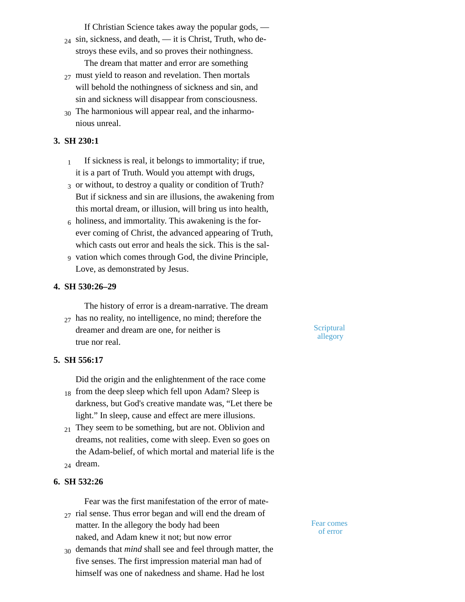If Christian Science takes away the popular gods, —

- $_{24}$  sin, sickness, and death, it is Christ, Truth, who destroys these evils, and so proves their nothingness. The dream that matter and error are something
- $_{27}$  must yield to reason and revelation. Then mortals will behold the nothingness of sickness and sin, and sin and sickness will disappear from consciousness.
- $_{30}$  The harmonious will appear real, and the inharmonious unreal.

# **3. SH 230:1**

- If sickness is real, it belongs to immortality; if true, it is a part of Truth. Would you attempt with drugs, 1
- 3 or without, to destroy a quality or condition of Truth? But if sickness and sin are illusions, the awakening from this mortal dream, or illusion, will bring us into health,
- $_6$  holiness, and immortality. This awakening is the forever coming of Christ, the advanced appearing of Truth, which casts out error and heals the sick. This is the sal-
- vation which comes through God, the divine Principle, 9 Love, as demonstrated by Jesus.

#### **4. SH 530:26–29**

The history of error is a dream-narrative. The dream

has no reality, no intelligence, no mind; therefore the 27 dreamer and dream are one, for neither is true nor real.

#### **5. SH 556:17**

Did the origin and the enlightenment of the race come

- $_{18}$  from the deep sleep which fell upon Adam? Sleep is darkness, but God's creative mandate was, "Let there be light." In sleep, cause and effect are mere illusions.
- $_{21}$  They seem to be something, but are not. Oblivion and dreams, not realities, come with sleep. Even so goes on the Adam-belief, of which mortal and material life is the dream. 24
- 

# **6. SH 532:26**

Fear was the first manifestation of the error of mate-

- $_{27}$  rial sense. Thus error began and will end the dream of matter. In the allegory the body had been naked, and Adam knew it not; but now error
- demands that *mind* shall see and feel through matter, the 30five senses. The first impression material man had of himself was one of nakedness and shame. Had he lost

**Scriptural** allegory

Fear comes of error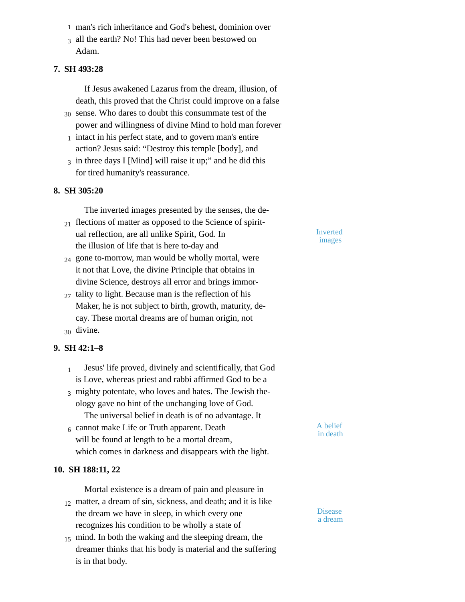- man's rich inheritance and God's behest, dominion over 1
- $_3$  all the earth? No! This had never been bestowed on Adam.

#### **7. SH 493:28**

If Jesus awakened Lazarus from the dream, illusion, of death, this proved that the Christ could improve on a false

- 30 sense. Who dares to doubt this consummate test of the power and willingness of divine Mind to hold man forever
- $<sub>1</sub>$  intact in his perfect state, and to govern man's entire</sub> action? Jesus said: "Destroy this temple [body], and
- $_3$  in three days I [Mind] will raise it up;" and he did this for tired humanity's reassurance.

#### **8. SH 305:20**

The inverted images presented by the senses, the de-

- $_{21}$  flections of matter as opposed to the Science of spiritual reflection, are all unlike Spirit, God. In the illusion of life that is here to-day and
- $_{24}$  gone to-morrow, man would be wholly mortal, were it not that Love, the divine Principle that obtains in divine Science, destroys all error and brings immor-
- $_{27}$  tality to light. Because man is the reflection of his Maker, he is not subject to birth, growth, maturity, decay. These mortal dreams are of human origin, not divine. 30

# **9. SH 42:1–8**

- Jesus' life proved, divinely and scientifically, that God is Love, whereas priest and rabbi affirmed God to be a 1
- $_3$  mighty potentate, who loves and hates. The Jewish theology gave no hint of the unchanging love of God. The universal belief in death is of no advantage. It
- 6 Cannot make Life or Truth apparent. Death  $\overrightarrow{A}$  belief will be found at length to be a mortal dream, which comes in darkness and disappears with the light.

#### **10. SH 188:11, 22**

Mortal existence is a dream of pain and pleasure in 12 matter, a dream of sin, sickness, and death; and it is like the dream we have in sleep, in which every one recognizes his condition to be wholly a state of

 $_{15}$  mind. In both the waking and the sleeping dream, the dreamer thinks that his body is material and the suffering is in that body.

Inverted images

in death

Disease a dream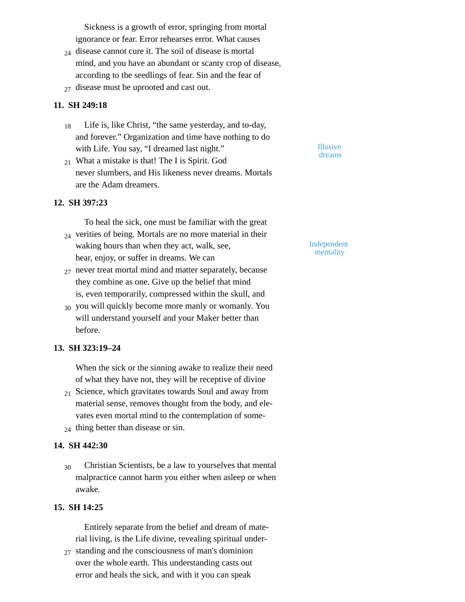Sickness is a growth of error, springing from mortal ignorance or fear. Error rehearses error. What causes

- $_{24}$  disease cannot cure it. The soil of disease is mortal mind, and you have an abundant or scanty crop of disease, according to the seedlings of fear. Sin and the fear of
- $_{27}$  disease must be uprooted and cast out.

## **11. SH 249:18**

- Life is, like Christ, "the same yesterday, and to-day, and forever." Organization and time have nothing to do with Life. You say, "I dreamed last night." 18
- What a mistake is that! The I is Spirit. God 21 never slumbers, and His likeness never dreams. Mortals are the Adam dreamers.

## **12. SH 397:23**

To heal the sick, one must be familiar with the great  $_{24}$  verities of being. Mortals are no more material in their

- waking hours than when they act, walk, see, hear, enjoy, or suffer in dreams. We can
- never treat mortal mind and matter separately, because 27 they combine as one. Give up the belief that mind is, even temporarily, compressed within the skull, and
- $_{30}$  you will quickly become more manly or womanly. You will understand yourself and your Maker better than before.

## **13. SH 323:19–24**

When the sick or the sinning awake to realize their need of what they have not, they will be receptive of divine

- $_{21}$  Science, which gravitates towards Soul and away from material sense, removes thought from the body, and elevates even mortal mind to the contemplation of some-
- $_{24}$  thing better than disease or sin.

#### **14. SH 442:30**

Christian Scientists, be a law to yourselves that mental malpractice cannot harm you either when asleep or when awake. 30

#### **15. SH 14:25**

Entirely separate from the belief and dream of material living, is the Life divine, revealing spiritual under-

 $_{27}$  standing and the consciousness of man's dominion over the whole earth. This understanding casts out error and heals the sick, and with it you can speak

Illusive dreams

Independent mentality